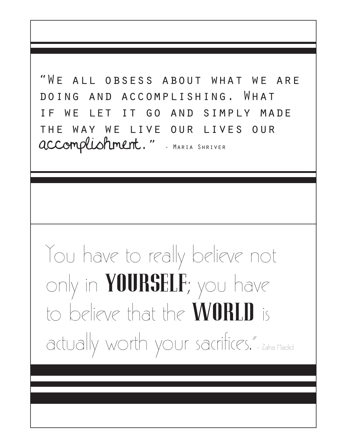"We all obsess about what we are doing and accomplishing. What if we let it go and simply made the way we live our lives our accomplishment." - Maria Shriver

## You have to really believe not only in  $Y0URSLF$ ; you have to believe that the **WORLD** is actually worth your sacrifices." - Zaha Hadid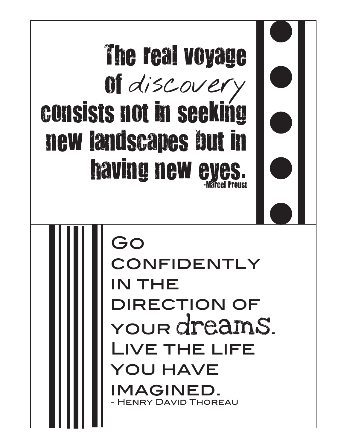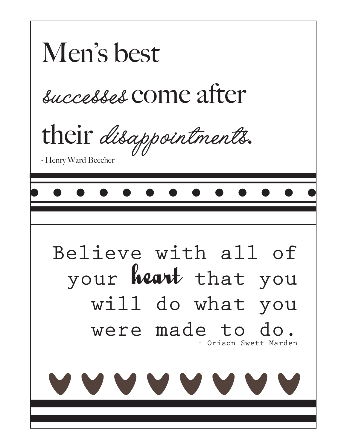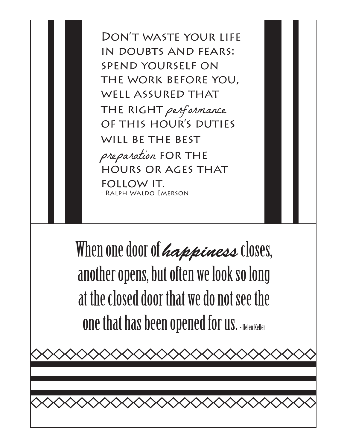Don't waste your life in doubts and fears: spend yourself on the work before you, well assured that THE RIGHT performance of this hour's duties will be the best preparation for the hours or ages that follow it. - Ralph Waldo Emerson

When one door of *happiness* closes, another opens, but often we look so long at the closed door that we do not see the **one that has been opened for us. Helen Keller** 

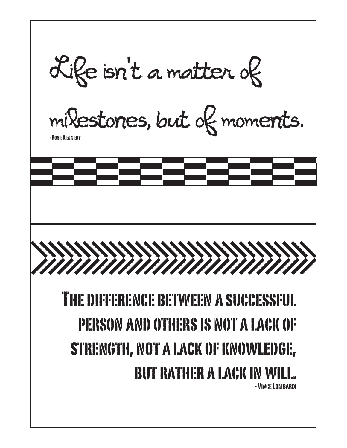Life isn't a matter of milestones, but of moments. -Rose Kennedy The difference between a successful person and others is not a lack of strength, not a lack of knowledge, **BUT RATHER A LACK IN WIL** - Vince Lombardi